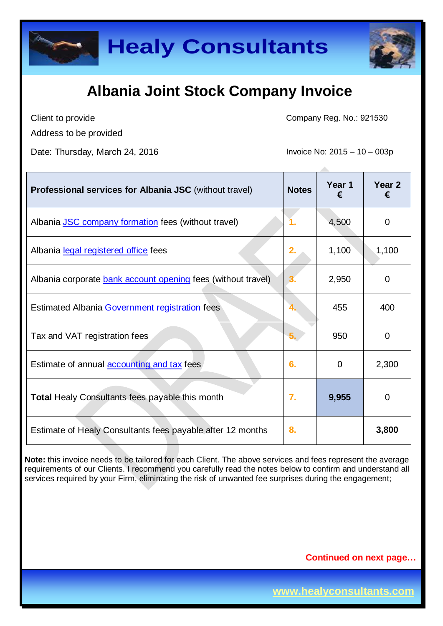



Client to provide

Address to be provided

Date: Thursday, March 24, 2016 **Invoice No: 2015** – 10 – 003p

Company Reg. No.: 921530

| <b>Professional services for Albania JSC</b> (without travel) | <b>Notes</b> | Year 1<br>€ | Year <sub>2</sub><br>€ |
|---------------------------------------------------------------|--------------|-------------|------------------------|
| Albania JSC company formation fees (without travel)           |              | 4,500       | 0                      |
| Albania legal registered office fees                          | 2.           | 1,100       | 1,100                  |
| Albania corporate bank account opening fees (without travel)  |              | 2,950       | 0                      |
| Estimated Albania Government registration fees                | 4.           | 455         | 400                    |
| Tax and VAT registration fees                                 | 5.           | 950         | 0                      |
| Estimate of annual <b>accounting and tax</b> fees             | 6.           | $\Omega$    | 2,300                  |
| <b>Total Healy Consultants fees payable this month</b>        | 7.           | 9,955       | 0                      |
| Estimate of Healy Consultants fees payable after 12 months    | 8.           |             | 3,800                  |

**Note:** this invoice needs to be tailored for each Client. The above services and fees represent the average requirements of our Clients. I recommend you carefully read the notes below to confirm and understand all services required by your Firm, eliminating the risk of unwanted fee surprises during the engagement;

**Continued on next page…**

**www.healyconsultants.com**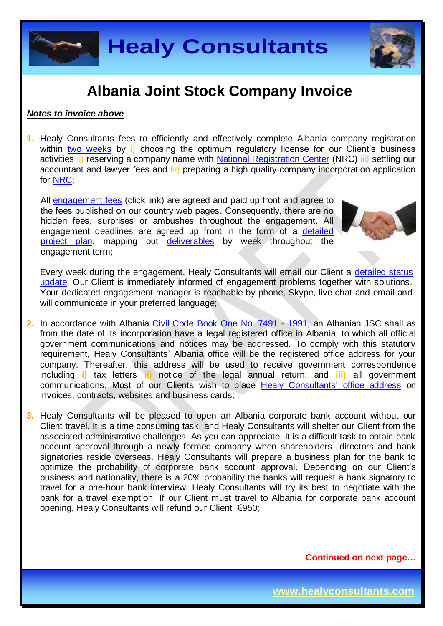

#### *Notes to invoice above*

**1.** Healy Consultants fees to efficiently and effectively complete Albania company registration within two [weeks](http://www.healyconsultants.com/albania-company-registration/fees-timelines/) by i) choosing the optimum regulatory license for our Client's business activities ii) reserving a company name with [National Registration Center](http://www.qkr.gov.al/nrc/Reserve_Subject_Name.aspx) (NRC) iii) settling our accountant and lawyer fees and iv) preparing a high quality company incorporation application for [NRC;](http://www.qkr.gov.al/nrc/default.aspx)

All [engagement fees](http://www.healyconsultants.com/company-registration-fees/) (click link) are agreed and paid up front and agree to the fees published on our country web pages. Consequently, there are no hidden fees, surprises or ambushes throughout the engagement. All engagement deadlines are agreed up front in the form of a [detailed](http://www.healyconsultants.com/index-important-links/example-project-plan/)  [project plan,](http://www.healyconsultants.com/index-important-links/example-project-plan/) mapping out [deliverables](http://www.healyconsultants.com/deliverables-to-our-clients/) by week throughout the engagement term;



Every week during the engagement, Healy Consultants will email our Client a detailed status [update.](http://www.healyconsultants.com/index-important-links/weekly-engagement-status-email/) Our Client is immediately informed of engagement problems together with solutions. Your dedicated engagement manager is reachable by phone, Skype, live chat and email and will communicate in your preferred language;

- **2.** In accordance with Albania [Civil Code Book One No. 7491 -](http://unpan1.un.org/intradoc/groups/public/documents/untc/unpan014893.pdf) 1991, an Albanian JSC shall as from the date of its incorporation have a legal registered office in Albania, to which all official government communications and notices may be addressed. To comply with this statutory requirement, Healy Consultants' Albania office will be the registered office address for your company. Thereafter, this address will be used to receive government correspondence including **i)** tax letters **ii)** notice of the legal annual return; and **iii)** all government communications. Most of our Clients wish to place [Healy Consultants'](http://www.healyconsultants.com/corporate-outsourcing-services/company-secretary-and-legal-registered-office/) office address on invoices, contracts, websites and business cards;
- **3.** Healy Consultants will be pleased to open an Albania corporate bank account without our Client travel. It is a time consuming task, and Healy Consultants will shelter our Client from the associated administrative challenges. As you can appreciate, it is a difficult task to obtain bank account approval through a newly formed company when shareholders, directors and bank signatories reside overseas. Healy Consultants will prepare a business plan for the bank to optimize the probability of corporate bank account approval. Depending on our Client's business and nationality, there is a 20% probability the banks will request a bank signatory to travel for a one-hour bank interview. Healy Consultants will try its best to negotiate with the bank for a travel exemption. If our Client must travel to Albania for corporate bank account opening, Healy Consultants will refund our Client €950;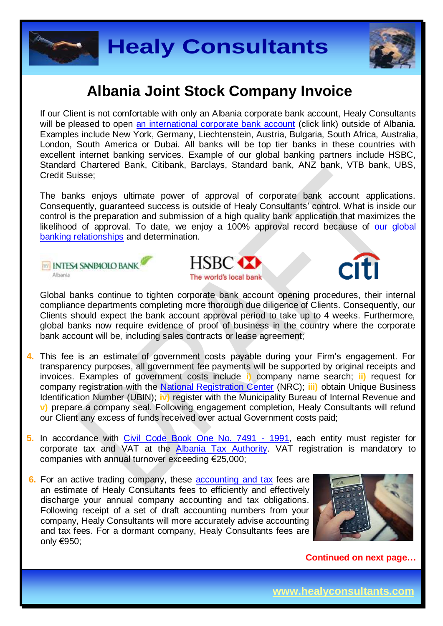



If our Client is not comfortable with only an Albania corporate bank account, Healy Consultants will be pleased to open [an international corporate bank account](http://www.healyconsultants.com/international-banking/) (click link) outside of Albania. Examples include New York, Germany, Liechtenstein, Austria, Bulgaria, South Africa, Australia, London, South America or Dubai. All banks will be top tier banks in these countries with excellent internet banking services. Example of our global banking partners include HSBC, Standard Chartered Bank, Citibank, Barclays, Standard bank, ANZ bank, VTB bank, UBS, Credit Suisse;

The banks enjoys ultimate power of approval of corporate bank account applications. Consequently, guaranteed success is outside of Healy Consultants' control. What is inside our control is the preparation and submission of a high quality bank application that maximizes the likelihood of approval. To date, we enjoy a 100% approval record because of our global [banking relationships](http://www.healyconsultants.com/international-banking/corporate-accounts/) and determination.

**MY INTESA SANPAOLO BANK** Albania





Global banks continue to tighten corporate bank account opening procedures, their internal compliance departments completing more thorough due diligence of Clients. Consequently, our Clients should expect the bank account approval period to take up to 4 weeks. Furthermore, global banks now require evidence of proof of business in the country where the corporate bank account will be, including sales contracts or lease agreement;

- **4.** This fee is an estimate of government costs payable during your Firm's engagement. For transparency purposes, all government fee payments will be supported by original receipts and invoices. Examples of government costs include **i)** company name search; **ii)** request for company registration with the [National Registration Center](http://www.qkr.gov.al/) (NRC); **iii)** obtain Unique Business Identification Number (UBIN); **iv)** register with the Municipality Bureau of Internal Revenue and **v)** prepare a company seal. Following engagement completion, Healy Consultants will refund our Client any excess of funds received over actual Government costs paid;
- **5.** In accordance with [Civil Code Book One No. 7491 -](http://unpan1.un.org/intradoc/groups/public/documents/untc/unpan014893.pdf) 1991, each entity must register for corporate tax and VAT at the [Albania Tax Authority.](https://www.tatime.gov.al/en-us/Pages/default.aspx) VAT registration is mandatory to companies with annual turnover exceeding €25,000;
- **6.** For an active trading company, these [accounting and tax](http://www.healyconsultants.com/albania-company-registration/accounting-legal/) fees are an estimate of Healy Consultants fees to efficiently and effectively discharge your annual company accounting and tax obligations. Following receipt of a set of draft accounting numbers from your company, Healy Consultants will more accurately advise accounting and tax fees. For a dormant company, Healy Consultants fees are only €950;

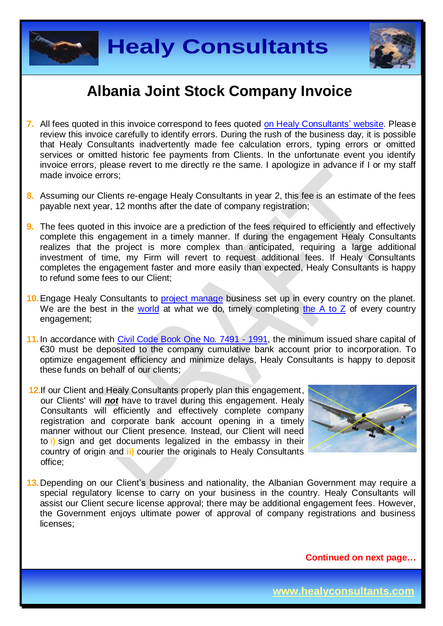



- **7.** All fees quoted in this invoice correspond to fees quoted [on Healy Consultants'](http://www.healyconsultants.com/company-registration-fees/) website. Please review this invoice carefully to identify errors. During the rush of the business day, it is possible that Healy Consultants inadvertently made fee calculation errors, typing errors or omitted services or omitted historic fee payments from Clients. In the unfortunate event you identify invoice errors, please revert to me directly re the same. I apologize in advance if I or my staff made invoice errors;
- **8.** Assuming our Clients re-engage Healy Consultants in year 2, this fee is an estimate of the fees payable next year, 12 months after the date of company registration;
- **9.** The fees quoted in this invoice are a prediction of the fees required to efficiently and effectively complete this engagement in a timely manner. If during the engagement Healy Consultants realizes that the project is more complex than anticipated, requiring a large additional investment of time, my Firm will revert to request additional fees. If Healy Consultants completes the engagement faster and more easily than expected, Healy Consultants is happy to refund some fees to our Client;
- **10.**Engage Healy Consultants to [project manage](http://www.healyconsultants.com/project-manage-engagements/) business set up in every country on the planet. We are the best in the [world](http://www.healyconsultants.com/best-in-the-world/) at what we do, timely completing [the A to Z](http://www.healyconsultants.com/a-to-z-of-business-set-up/) of every country engagement;
- **11.**In accordance with [Civil Code Book One No. 7491 -](http://unpan1.un.org/intradoc/groups/public/documents/untc/unpan014893.pdf) 1991, the minimum issued share capital of €30 must be deposited to the company cumulative bank account prior to incorporation. To optimize engagement efficiency and minimize delays, Healy Consultants is happy to deposit these funds on behalf of our clients;
- **12.**If our Client and Healy Consultants properly plan this engagement, our Clients' will *not* have to travel during this engagement. Healy Consultants will efficiently and effectively complete company registration and corporate bank account opening in a timely manner without our Client presence. Instead, our Client will need to **i)** sign and get documents legalized in the embassy in their country of origin and **ii)** courier the originals to Healy Consultants office;



13. Depending on our Client's business and nationality, the Albanian Government may require a special regulatory license to carry on your business in the country. Healy Consultants will assist our Client secure license approval; there may be additional engagement fees. However, the Government enjoys ultimate power of approval of company registrations and business licenses;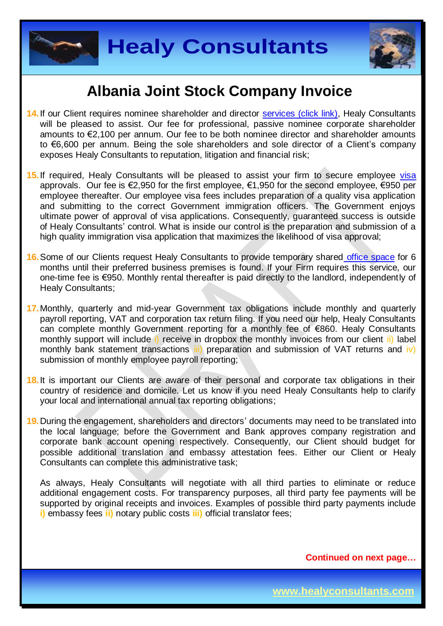



- **14.** If our Client requires nominee shareholder and director services [\(click link\),](http://www.healyconsultants.com/corporate-outsourcing-services/nominee-shareholders-directors/) Healy Consultants will be pleased to assist. Our fee for professional, passive nominee corporate shareholder amounts to €2,100 per annum. Our fee to be both nominee director and shareholder amounts to €6,600 per annum. Being the sole shareholders and sole director of a Client's company exposes Healy Consultants to reputation, litigation and financial risk;
- 15. If required, Healy Consultants will be pleased to assist your firm to secure employee [visa](http://www.healyconsultants.com/europe-incorporation/secure-an-eu-visa/) approvals. Our fee is €2,950 for the first employee, €1,950 for the second employee, €950 per employee thereafter. Our employee visa fees includes preparation of a quality visa application and submitting to the correct Government immigration officers. The Government enjoys ultimate power of approval of visa applications. Consequently, guaranteed success is outside of Healy Consultants' control. What is inside our control is the preparation and submission of a high quality immigration visa application that maximizes the likelihood of visa approval;
- **16.**Some of our Clients request Healy Consultants to provide temporary shared [office space](http://www.healyconsultants.com/virtual-office/) for 6 months until their preferred business premises is found. If your Firm requires this service, our one-time fee is €950. Monthly rental thereafter is paid directly to the landlord, independently of Healy Consultants;
- **17.**Monthly, quarterly and mid-year Government tax obligations include monthly and quarterly payroll reporting, VAT and corporation tax return filing. If you need our help, Healy Consultants can complete monthly Government reporting for a monthly fee of €860. Healy Consultants monthly support will include i) receive in dropbox the monthly invoices from our client ii) label monthly bank statement transactions iii) preparation and submission of VAT returns and iv) submission of monthly employee payroll reporting;
- **18.**It is important our Clients are aware of their personal and corporate tax obligations in their country of residence and domicile. Let us know if you need Healy Consultants help to clarify your local and international annual tax reporting obligations;
- **19.**During the engagement, shareholders and directors' documents may need to be translated into the local language; before the Government and Bank approves company registration and corporate bank account opening respectively. Consequently, our Client should budget for possible additional translation and embassy attestation fees. Either our Client or Healy Consultants can complete this administrative task;

As always, Healy Consultants will negotiate with all third parties to eliminate or reduce additional engagement costs. For transparency purposes, all third party fee payments will be supported by original receipts and invoices. Examples of possible third party payments include **i)** embassy fees **ii)** notary public costs **iii)** official translator fees;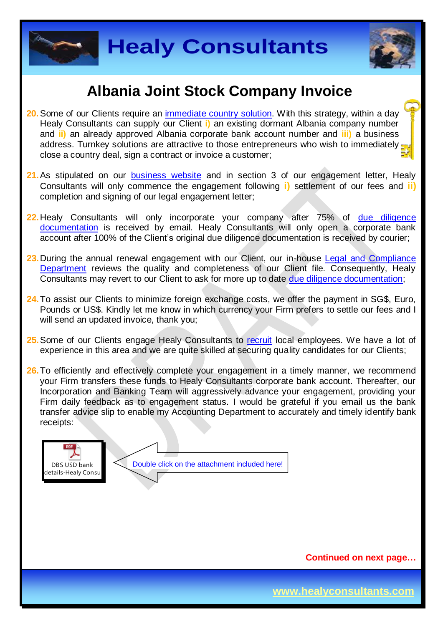



- **20.**Some of our Clients require an [immediate country](http://www.healyconsultants.com/turnkey-solutions/) solution. With this strategy, within a day Healy Consultants can supply our Client **i)** an existing dormant Albania company number and **ii)** an already approved Albania corporate bank account number and **iii)** a business address. Turnkey solutions are attractive to those entrepreneurs who wish to immediately close a country deal, sign a contract or invoice a customer;
- **21.**As stipulated on our [business website](http://www.healyconsultants.com/) and in section 3 of our engagement letter, Healy Consultants will only commence the engagement following **i)** settlement of our fees and **ii)** completion and signing of our legal engagement letter;
- **22.**Healy Consultants will only incorporate your company after 75% of [due diligence](http://www.healyconsultants.com/due-diligence/)  [documentation](http://www.healyconsultants.com/due-diligence/) is received by email. Healy Consultants will only open a corporate bank account after 100% of the Client's original due diligence documentation is received by courier;
- 23. During the annual renewal engagement with our Client, our in-house Legal and Compliance [Department](http://www.healyconsultants.com/about-us/key-personnel/cai-xin-profile/) reviews the quality and completeness of our Client file. Consequently, Healy Consultants may revert to our Client to ask for more up to date [due diligence documentation;](http://www.healyconsultants.com/due-diligence/)
- **24.**To assist our Clients to minimize foreign exchange costs, we offer the payment in SG\$, Euro, Pounds or US\$. Kindly let me know in which currency your Firm prefers to settle our fees and I will send an updated invoice, thank you;
- **25.**Some of our Clients engage Healy Consultants to [recruit](http://www.healyconsultants.com/corporate-outsourcing-services/how-we-help-our-clients-recruit-quality-employees/) local employees. We have a lot of experience in this area and we are quite skilled at securing quality candidates for our Clients;
- 26. To efficiently and effectively complete your engagement in a timely manner, we recommend your Firm transfers these funds to Healy Consultants corporate bank account. Thereafter, our Incorporation and Banking Team will aggressively advance your engagement, providing your Firm daily feedback as to engagement status. I would be grateful if you email us the bank transfer advice slip to enable my Accounting Department to accurately and timely identify bank receipts:

DBS USD bank details-Healy Consul Double click on the attachment included here!

**Continued on next page…**

**www.healyconsultants.com**